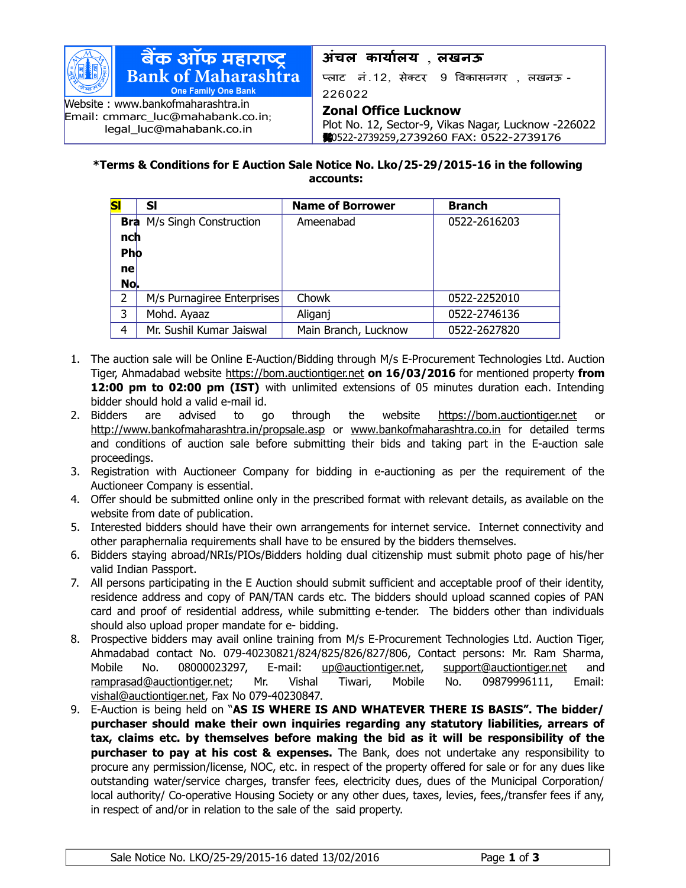

Email: [cmmarc\\_luc@mahabank.co.in](mailto:cmmarc_luc@mahabank.co.in); [legal\\_luc@mahabank.co.in](mailto:legal_luc@mahabank.co.in)

## **अंचल कारायालर** , **लखनऊ**

प्लाट नं.12, सेक्टर 9 विकासनगर , लखनऊ -226022

## **Zonal Office Lucknow**

Plot No. 12, Sector-9, Vikas Nagar, Lucknow -226022 **:** 0522-2739259,2739260 FAX: 0522-2739176

## **\*Terms & Conditions for E Auction Sale Notice No. Lko/25-29/2015-16 in the following accounts:**

| S              | SI                                | <b>Name of Borrower</b> | <b>Branch</b> |
|----------------|-----------------------------------|-------------------------|---------------|
|                | <b>Bra</b> M/s Singh Construction | Ameenabad               | 0522-2616203  |
| nch            |                                   |                         |               |
| <b>Pho</b>     |                                   |                         |               |
| nel            |                                   |                         |               |
| No.            |                                   |                         |               |
| $\overline{2}$ | M/s Purnagiree Enterprises        | Chowk                   | 0522-2252010  |
| 3              | Mohd. Ayaaz                       | Aliganj                 | 0522-2746136  |
| 4              | Mr. Sushil Kumar Jaiswal          | Main Branch, Lucknow    | 0522-2627820  |

- 1. The auction sale will be Online E-Auction/Bidding through M/s E-Procurement Technologies Ltd. Auction Tiger, Ahmadabad website [https://bom.auctiontiger.net](https://bom.auctiontiger.net/) **on 16/03/2016** for mentioned property **from 12:00 pm to 02:00 pm (IST)** with unlimited extensions of 05 minutes duration each. Intending bidder should hold a valid e-mail id.
- 2. Bidders are advised to go through the website [https://bom.auctiontiger.net](https://bom.auctiontiger.net/) or <http://www.bankofmaharashtra.in/propsale.asp>or [www.banko](http://www.bank/)fmaharashtra.co.in for detailed terms and conditions of auction sale before submitting their bids and taking part in the E-auction sale proceedings.
- 3. Registration with Auctioneer Company for bidding in e-auctioning as per the requirement of the Auctioneer Company is essential.
- 4. Offer should be submitted online only in the prescribed format with relevant details, as available on the website from date of publication.
- 5. Interested bidders should have their own arrangements for internet service. Internet connectivity and other paraphernalia requirements shall have to be ensured by the bidders themselves.
- 6. Bidders staying abroad/NRIs/PIOs/Bidders holding dual citizenship must submit photo page of his/her valid Indian Passport.
- 7. All persons participating in the E Auction should submit sufficient and acceptable proof of their identity, residence address and copy of PAN/TAN cards etc. The bidders should upload scanned copies of PAN card and proof of residential address, while submitting e-tender. The bidders other than individuals should also upload proper mandate for e- bidding.
- 8. Prospective bidders may avail online training from M/s E-Procurement Technologies Ltd. Auction Tiger, Ahmadabad contact No. 079-40230821/824/825/826/827/806, Contact persons: Mr. Ram Sharma, Mobile No. 08000023297, E-mail: [up@auctiontiger.net,](mailto:up@auctiontiger.net) [support@auctiontiger.net](mailto:support@auctiontiger.net) and [ramprasad@auctiontiger.net;](mailto:ramprasad@auctiontiger.net) Mr. Vishal Tiwari, Mobile No. 09879996111, Email: [vishal@auctiontiger.net,](mailto:vijay.shetty@auctiontiger.net) Fax No 079-40230847.
- 9. E-Auction is being held on "**AS IS WHERE IS AND WHATEVER THERE IS BASIS". The bidder/ purchaser should make their own inquiries regarding any statutory liabilities, arrears of tax, claims etc. by themselves before making the bid as it will be responsibility of the purchaser to pay at his cost & expenses.** The Bank, does not undertake any responsibility to procure any permission/license, NOC, etc. in respect of the property offered for sale or for any dues like outstanding water/service charges, transfer fees, electricity dues, dues of the Municipal Corporation/ local authority/ Co-operative Housing Society or any other dues, taxes, levies, fees,/transfer fees if any, in respect of and/or in relation to the sale of the said property.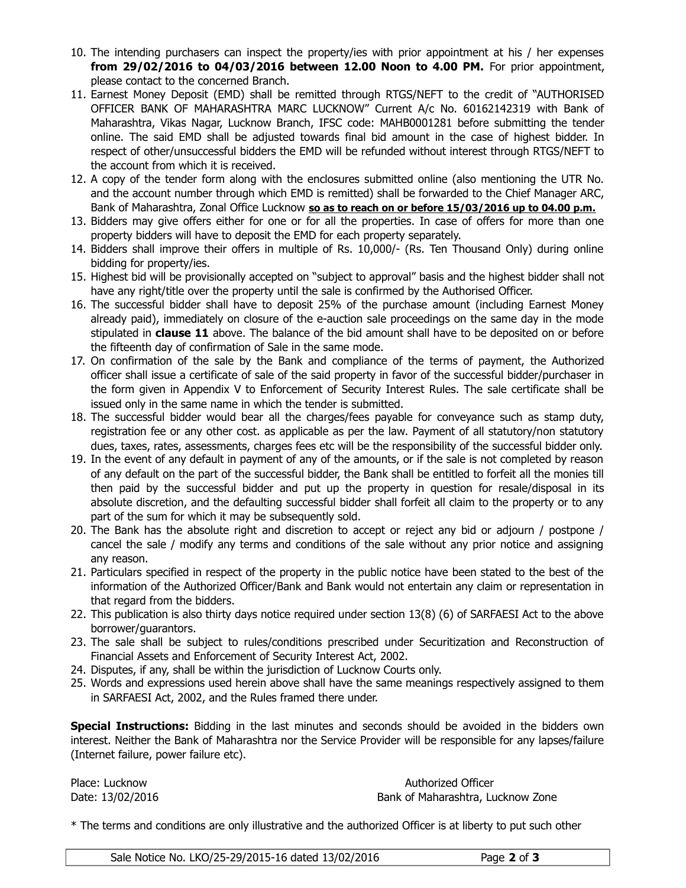- 10. The intending purchasers can inspect the property/ies with prior appointment at his / her expenses **from 29/02/2016 to 04/03/2016 between 12.00 Noon to 4.00 PM.** For prior appointment, please contact to the concerned Branch.
- 11. Earnest Money Deposit (EMD) shall be remitted through RTGS/NEFT to the credit of "AUTHORISED OFFICER BANK OF MAHARASHTRA MARC LUCKNOW" Current A/c No. 60162142319 with Bank of Maharashtra, Vikas Nagar, Lucknow Branch, IFSC code: MAHB0001281 before submitting the tender online. The said EMD shall be adjusted towards final bid amount in the case of highest bidder. In respect of other/unsuccessful bidders the EMD will be refunded without interest through RTGS/NEFT to the account from which it is received.
- 12. A copy of the tender form along with the enclosures submitted online (also mentioning the UTR No. and the account number through which EMD is remitted) shall be forwarded to the Chief Manager ARC, Bank of Maharashtra, Zonal Office Lucknow **so as to reach on or before 15/03/2016 up to 04.00 p.m.**
- 13. Bidders may give offers either for one or for all the properties. In case of offers for more than one property bidders will have to deposit the EMD for each property separately.
- 14. Bidders shall improve their offers in multiple of Rs. 10,000/- (Rs. Ten Thousand Only) during online bidding for property/ies.
- 15. Highest bid will be provisionally accepted on "subject to approval" basis and the highest bidder shall not have any right/title over the property until the sale is confirmed by the Authorised Officer.
- 16. The successful bidder shall have to deposit 25% of the purchase amount (including Earnest Money already paid), immediately on closure of the e-auction sale proceedings on the same day in the mode stipulated in **clause 11** above. The balance of the bid amount shall have to be deposited on or before the fifteenth day of confirmation of Sale in the same mode.
- 17. On confirmation of the sale by the Bank and compliance of the terms of payment, the Authorized officer shall issue a certificate of sale of the said property in favor of the successful bidder/purchaser in the form given in Appendix V to Enforcement of Security Interest Rules. The sale certificate shall be issued only in the same name in which the tender is submitted.
- 18. The successful bidder would bear all the charges/fees payable for conveyance such as stamp duty, registration fee or any other cost. as applicable as per the law. Payment of all statutory/non statutory dues, taxes, rates, assessments, charges fees etc will be the responsibility of the successful bidder only.
- 19. In the event of any default in payment of any of the amounts, or if the sale is not completed by reason of any default on the part of the successful bidder, the Bank shall be entitled to forfeit all the monies till then paid by the successful bidder and put up the property in question for resale/disposal in its absolute discretion, and the defaulting successful bidder shall forfeit all claim to the property or to any part of the sum for which it may be subsequently sold.
- 20. The Bank has the absolute right and discretion to accept or reject any bid or adjourn / postpone / cancel the sale / modify any terms and conditions of the sale without any prior notice and assigning any reason.
- 21. Particulars specified in respect of the property in the public notice have been stated to the best of the information of the Authorized Officer/Bank and Bank would not entertain any claim or representation in that regard from the bidders.
- 22. This publication is also thirty days notice required under section 13(8) (6) of SARFAESI Act to the above borrower/guarantors.
- 23. The sale shall be subject to rules/conditions prescribed under Securitization and Reconstruction of Financial Assets and Enforcement of Security Interest Act, 2002.
- 24. Disputes, if any, shall be within the jurisdiction of Lucknow Courts only.
- 25. Words and expressions used herein above shall have the same meanings respectively assigned to them in SARFAESI Act, 2002, and the Rules framed there under.

**Special Instructions:** Bidding in the last minutes and seconds should be avoided in the bidders own interest. Neither the Bank of Maharashtra nor the Service Provider will be responsible for any lapses/failure (Internet failure, power failure etc).

Place: Lucknow **Authorized Officer Place: Lucknow** Date: 13/02/2016 Bank of Maharashtra, Lucknow Zone

\* The terms and conditions are only illustrative and the authorized Officer is at liberty to put such other

| Sale Notice No. LKO/25-29/2015-16 dated 13/02/2016 | Page 2 of 3 |
|----------------------------------------------------|-------------|
|----------------------------------------------------|-------------|